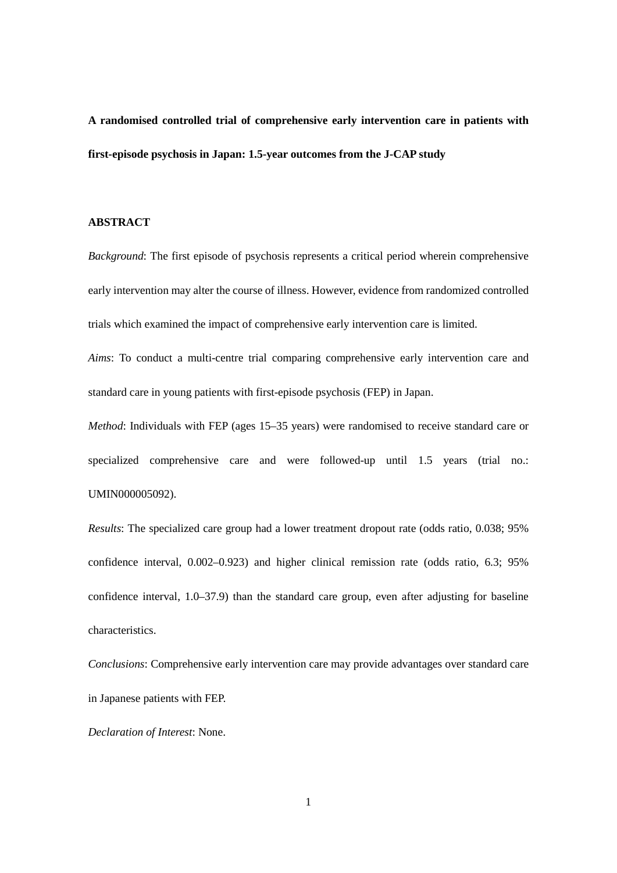**A randomised controlled trial of comprehensive early intervention care in patients with first-episode psychosis in Japan: 1.5-year outcomes from the J-CAP study**

### **ABSTRACT**

*Background*: The first episode of psychosis represents a critical period wherein comprehensive early intervention may alter the course of illness. However, evidence from randomized controlled trials which examined the impact of comprehensive early intervention care is limited.

*Aims*: To conduct a multi-centre trial comparing comprehensive early intervention care and standard care in young patients with first-episode psychosis (FEP) in Japan.

*Method*: Individuals with FEP (ages 15–35 years) were randomised to receive standard care or specialized comprehensive care and were followed-up until 1.5 years (trial no.: UMIN000005092).

*Results*: The specialized care group had a lower treatment dropout rate (odds ratio, 0.038; 95% confidence interval, 0.002–0.923) and higher clinical remission rate (odds ratio, 6.3; 95% confidence interval, 1.0–37.9) than the standard care group, even after adjusting for baseline characteristics.

*Conclusions*: Comprehensive early intervention care may provide advantages over standard care in Japanese patients with FEP.

*Declaration of Interest*: None.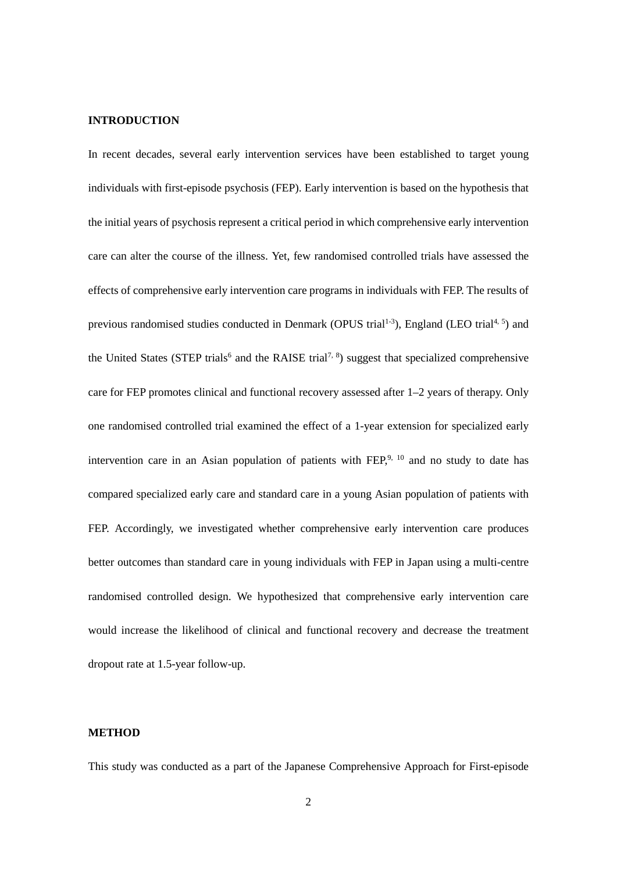## **INTRODUCTION**

In recent decades, several early intervention services have been established to target young individuals with first-episode psychosis (FEP). Early intervention is based on the hypothesis that the initial years of psychosis represent a critical period in which comprehensive early intervention care can alter the course of the illness. Yet, few randomised controlled trials have assessed the effects of comprehensive early intervention care programs in individuals with FEP. The results of previous randomised studies conducted in Denmark (OPUS trial<sup>1-3</sup>), England (LEO trial<sup>4, 5</sup>) and the United States (STEP trials<sup>6</sup> and the RAISE trial<sup>7, 8</sup>) suggest that specialized comprehensive care for FEP promotes clinical and functional recovery assessed after 1–2 years of therapy. Only one randomised controlled trial examined the effect of a 1-year extension for specialized early intervention care in an Asian population of patients with  $FEP<sub>1</sub><sup>9, 10</sup>$  and no study to date has compared specialized early care and standard care in a young Asian population of patients with FEP. Accordingly, we investigated whether comprehensive early intervention care produces better outcomes than standard care in young individuals with FEP in Japan using a multi-centre randomised controlled design. We hypothesized that comprehensive early intervention care would increase the likelihood of clinical and functional recovery and decrease the treatment dropout rate at 1.5-year follow-up.

## **METHOD**

This study was conducted as a part of the Japanese Comprehensive Approach for First-episode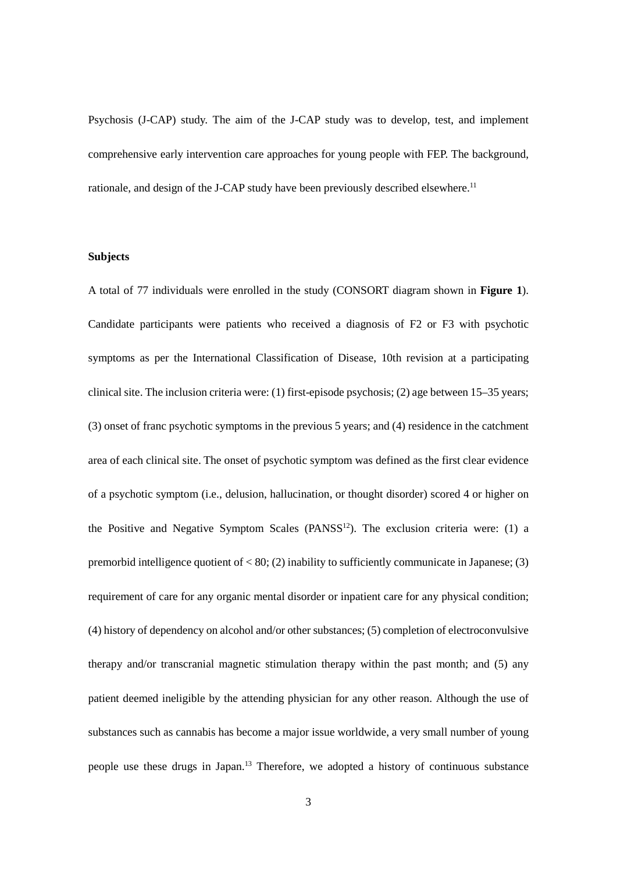Psychosis (J-CAP) study. The aim of the J-CAP study was to develop, test, and implement comprehensive early intervention care approaches for young people with FEP. The background, rationale, and design of the J-CAP study have been previously described elsewhere.<sup>11</sup>

# **Subjects**

A total of 77 individuals were enrolled in the study (CONSORT diagram shown in **Figure 1**). Candidate participants were patients who received a diagnosis of F2 or F3 with psychotic symptoms as per the International Classification of Disease, 10th revision at a participating clinical site. The inclusion criteria were: (1) first-episode psychosis; (2) age between 15–35 years; (3) onset of franc psychotic symptoms in the previous 5 years; and (4) residence in the catchment area of each clinical site. The onset of psychotic symptom was defined as the first clear evidence of a psychotic symptom (i.e., delusion, hallucination, or thought disorder) scored 4 or higher on the Positive and Negative Symptom Scales  $(PANSS<sup>12</sup>)$ . The exclusion criteria were: (1) a premorbid intelligence quotient of  $\lt 80$ ; (2) inability to sufficiently communicate in Japanese; (3) requirement of care for any organic mental disorder or inpatient care for any physical condition; (4) history of dependency on alcohol and/or other substances; (5) completion of electroconvulsive therapy and/or transcranial magnetic stimulation therapy within the past month; and (5) any patient deemed ineligible by the attending physician for any other reason. Although the use of substances such as cannabis has become a major issue worldwide, a very small number of young people use these drugs in Japan.13 Therefore, we adopted a history of continuous substance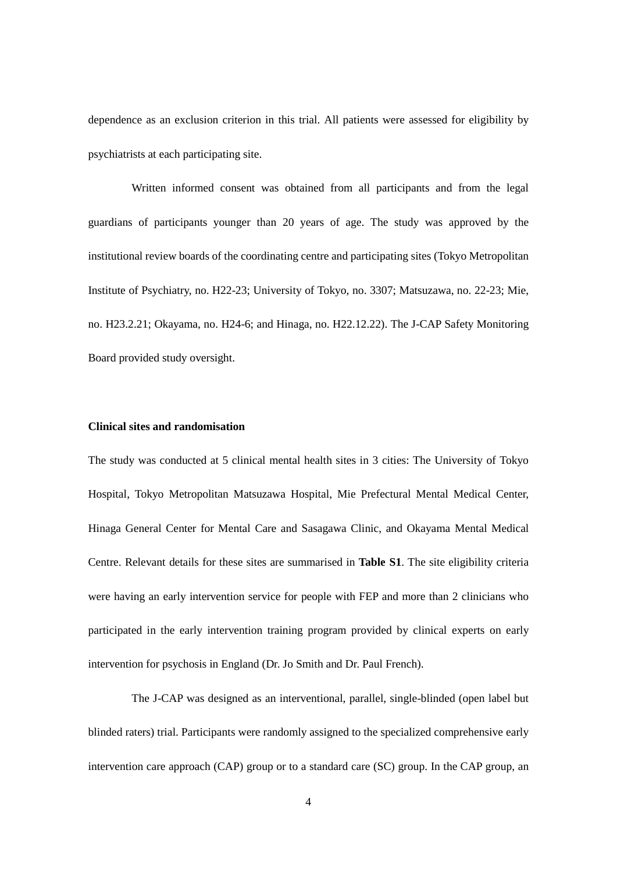dependence as an exclusion criterion in this trial. All patients were assessed for eligibility by psychiatrists at each participating site.

Written informed consent was obtained from all participants and from the legal guardians of participants younger than 20 years of age. The study was approved by the institutional review boards of the coordinating centre and participating sites (Tokyo Metropolitan Institute of Psychiatry, no. H22-23; University of Tokyo, no. 3307; Matsuzawa, no. 22-23; Mie, no. H23.2.21; Okayama, no. H24-6; and Hinaga, no. H22.12.22). The J-CAP Safety Monitoring Board provided study oversight.

# **Clinical sites and randomisation**

The study was conducted at 5 clinical mental health sites in 3 cities: The University of Tokyo Hospital, Tokyo Metropolitan Matsuzawa Hospital, Mie Prefectural Mental Medical Center, Hinaga General Center for Mental Care and Sasagawa Clinic, and Okayama Mental Medical Centre. Relevant details for these sites are summarised in **Table S1**. The site eligibility criteria were having an early intervention service for people with FEP and more than 2 clinicians who participated in the early intervention training program provided by clinical experts on early intervention for psychosis in England (Dr. Jo Smith and Dr. Paul French).

The J-CAP was designed as an interventional, parallel, single-blinded (open label but blinded raters) trial. Participants were randomly assigned to the specialized comprehensive early intervention care approach (CAP) group or to a standard care (SC) group. In the CAP group, an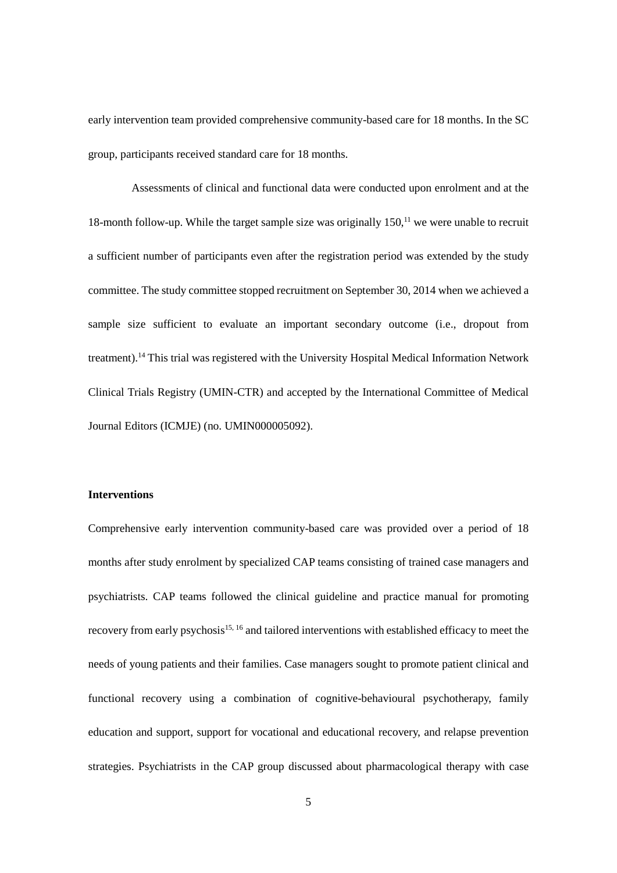early intervention team provided comprehensive community-based care for 18 months. In the SC group, participants received standard care for 18 months.

Assessments of clinical and functional data were conducted upon enrolment and at the 18-month follow-up. While the target sample size was originally 150,<sup>11</sup> we were unable to recruit a sufficient number of participants even after the registration period was extended by the study committee. The study committee stopped recruitment on September 30, 2014 when we achieved a sample size sufficient to evaluate an important secondary outcome (i.e., dropout from treatment).14 This trial was registered with the University Hospital Medical Information Network Clinical Trials Registry (UMIN-CTR) and accepted by the International Committee of Medical Journal Editors (ICMJE) (no. UMIN000005092).

## **Interventions**

Comprehensive early intervention community-based care was provided over a period of 18 months after study enrolment by specialized CAP teams consisting of trained case managers and psychiatrists. CAP teams followed the clinical guideline and practice manual for promoting recovery from early psychosis<sup>15, 16</sup> and tailored interventions with established efficacy to meet the needs of young patients and their families. Case managers sought to promote patient clinical and functional recovery using a combination of cognitive-behavioural psychotherapy, family education and support, support for vocational and educational recovery, and relapse prevention strategies. Psychiatrists in the CAP group discussed about pharmacological therapy with case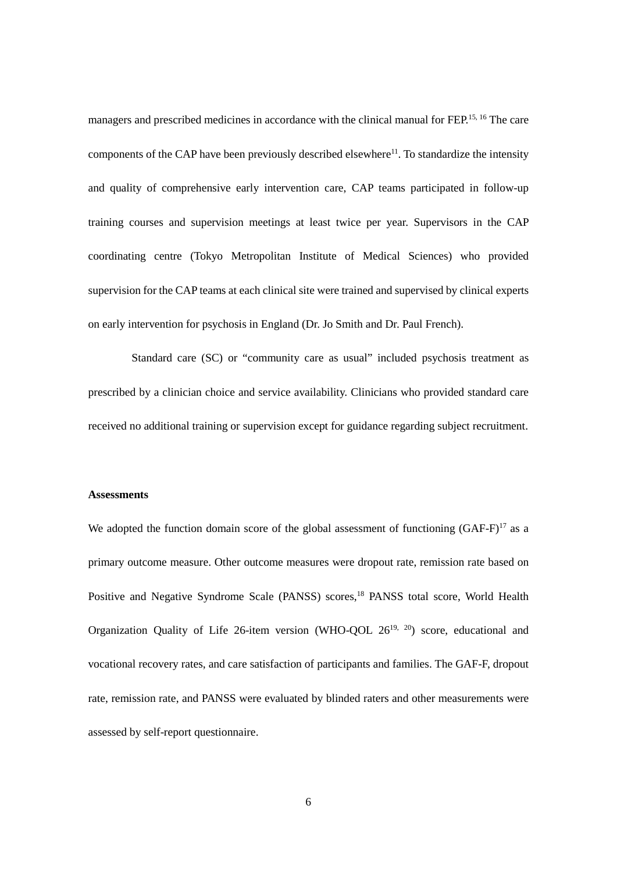managers and prescribed medicines in accordance with the clinical manual for FEP.<sup>15, 16</sup> The care components of the CAP have been previously described elsewhere<sup>11</sup>. To standardize the intensity and quality of comprehensive early intervention care, CAP teams participated in follow-up training courses and supervision meetings at least twice per year. Supervisors in the CAP coordinating centre (Tokyo Metropolitan Institute of Medical Sciences) who provided supervision for the CAP teams at each clinical site were trained and supervised by clinical experts on early intervention for psychosis in England (Dr. Jo Smith and Dr. Paul French).

Standard care (SC) or "community care as usual" included psychosis treatment as prescribed by a clinician choice and service availability. Clinicians who provided standard care received no additional training or supervision except for guidance regarding subject recruitment.

#### **Assessments**

We adopted the function domain score of the global assessment of functioning  $(GAF-F)^{17}$  as a primary outcome measure. Other outcome measures were dropout rate, remission rate based on Positive and Negative Syndrome Scale (PANSS) scores,<sup>18</sup> PANSS total score, World Health Organization Quality of Life 26-item version (WHO-QOL  $26^{19}$ ,  $20$ ) score, educational and vocational recovery rates, and care satisfaction of participants and families. The GAF-F, dropout rate, remission rate, and PANSS were evaluated by blinded raters and other measurements were assessed by self-report questionnaire.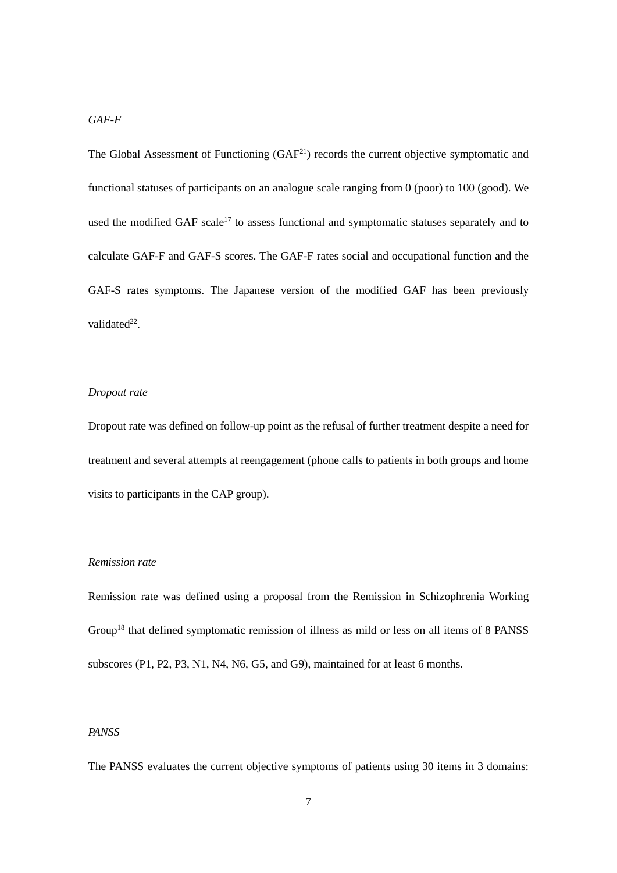The Global Assessment of Functioning  $(GAF<sup>21</sup>)$  records the current objective symptomatic and functional statuses of participants on an analogue scale ranging from 0 (poor) to 100 (good). We used the modified GAF scale<sup>17</sup> to assess functional and symptomatic statuses separately and to calculate GAF-F and GAF-S scores. The GAF-F rates social and occupational function and the GAF-S rates symptoms. The Japanese version of the modified GAF has been previously validated $2^2$ .

#### *Dropout rate*

Dropout rate was defined on follow-up point as the refusal of further treatment despite a need for treatment and several attempts at reengagement (phone calls to patients in both groups and home visits to participants in the CAP group).

## *Remission rate*

Remission rate was defined using a proposal from the Remission in Schizophrenia Working Group<sup>18</sup> that defined symptomatic remission of illness as mild or less on all items of 8 PANSS subscores (P1, P2, P3, N1, N4, N6, G5, and G9), maintained for at least 6 months.

## *PANSS*

The PANSS evaluates the current objective symptoms of patients using 30 items in 3 domains: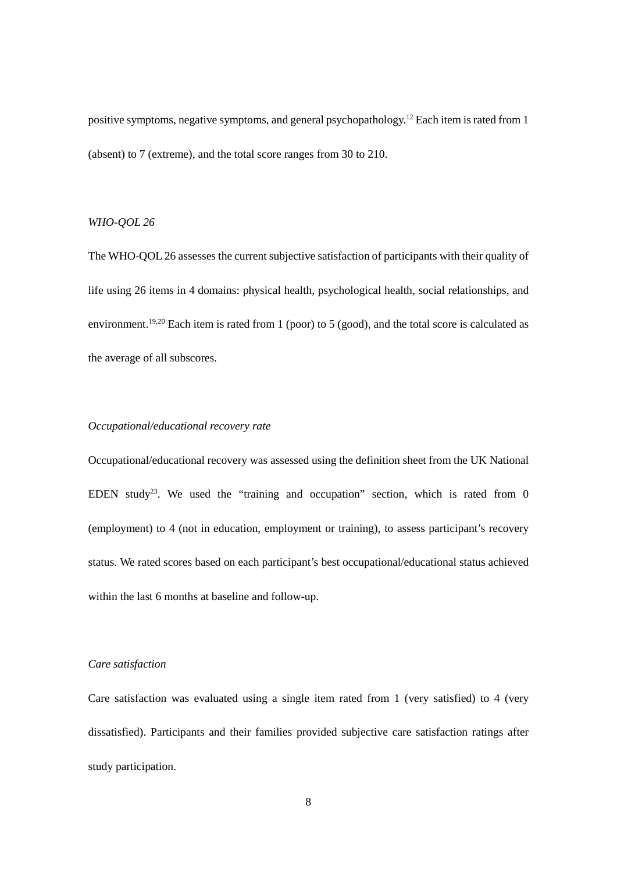positive symptoms, negative symptoms, and general psychopathology.<sup>12</sup> Each item is rated from 1 (absent) to 7 (extreme), and the total score ranges from 30 to 210.

## *WHO-QOL 26*

The WHO-QOL 26 assesses the current subjective satisfaction of participants with their quality of life using 26 items in 4 domains: physical health, psychological health, social relationships, and environment.<sup>19,20</sup> Each item is rated from 1 (poor) to 5 (good), and the total score is calculated as the average of all subscores.

## *Occupational/educational recovery rate*

Occupational/educational recovery was assessed using the definition sheet from the UK National EDEN study<sup>23</sup>. We used the "training and occupation" section, which is rated from 0 (employment) to 4 (not in education, employment or training), to assess participant's recovery status. We rated scores based on each participant's best occupational/educational status achieved within the last 6 months at baseline and follow-up.

#### *Care satisfaction*

Care satisfaction was evaluated using a single item rated from 1 (very satisfied) to 4 (very dissatisfied). Participants and their families provided subjective care satisfaction ratings after study participation.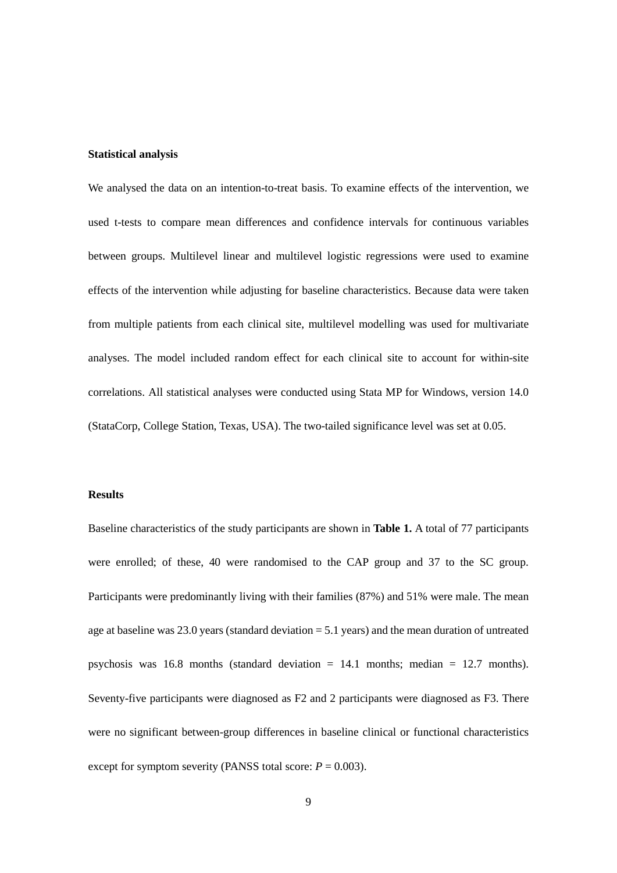#### **Statistical analysis**

We analysed the data on an intention-to-treat basis. To examine effects of the intervention, we used t-tests to compare mean differences and confidence intervals for continuous variables between groups. Multilevel linear and multilevel logistic regressions were used to examine effects of the intervention while adjusting for baseline characteristics. Because data were taken from multiple patients from each clinical site, multilevel modelling was used for multivariate analyses. The model included random effect for each clinical site to account for within-site correlations. All statistical analyses were conducted using Stata MP for Windows, version 14.0 (StataCorp, College Station, Texas, USA). The two-tailed significance level was set at 0.05.

## **Results**

Baseline characteristics of the study participants are shown in **Table 1.** A total of 77 participants were enrolled; of these, 40 were randomised to the CAP group and 37 to the SC group. Participants were predominantly living with their families (87%) and 51% were male. The mean age at baseline was 23.0 years (standard deviation  $= 5.1$  years) and the mean duration of untreated psychosis was 16.8 months (standard deviation  $= 14.1$  months; median  $= 12.7$  months). Seventy-five participants were diagnosed as F2 and 2 participants were diagnosed as F3. There were no significant between-group differences in baseline clinical or functional characteristics except for symptom severity (PANSS total score:  $P = 0.003$ ).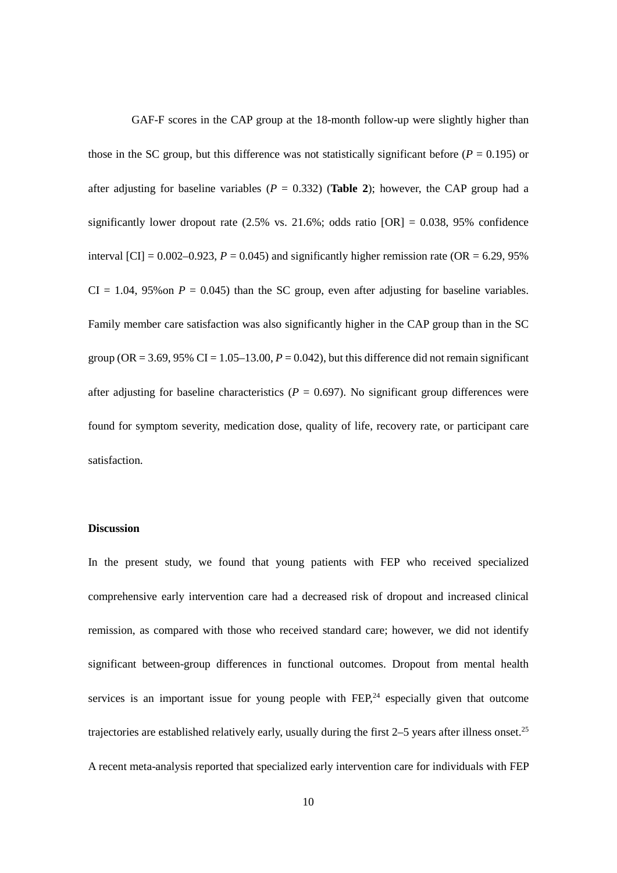GAF-F scores in the CAP group at the 18-month follow-up were slightly higher than those in the SC group, but this difference was not statistically significant before  $(P = 0.195)$  or after adjusting for baseline variables ( $P = 0.332$ ) (**Table 2**); however, the CAP group had a significantly lower dropout rate  $(2.5\% \text{ vs. } 21.6\%; \text{ odds ratio } [OR] = 0.038, 95\% \text{ confidence}$ interval  $\text{[CI]} = 0.002 - 0.923$ ,  $P = 0.045$ ) and significantly higher remission rate (OR = 6.29, 95%)  $CI = 1.04$ , 95% on  $P = 0.045$ ) than the SC group, even after adjusting for baseline variables. Family member care satisfaction was also significantly higher in the CAP group than in the SC group ( $OR = 3.69$ ,  $95\%$   $CI = 1.05-13.00$ ,  $P = 0.042$ ), but this difference did not remain significant after adjusting for baseline characteristics ( $P = 0.697$ ). No significant group differences were found for symptom severity, medication dose, quality of life, recovery rate, or participant care satisfaction.

### **Discussion**

In the present study, we found that young patients with FEP who received specialized comprehensive early intervention care had a decreased risk of dropout and increased clinical remission, as compared with those who received standard care; however, we did not identify significant between-group differences in functional outcomes. Dropout from mental health services is an important issue for young people with  $FEP<sub>24</sub>$  especially given that outcome trajectories are established relatively early, usually during the first 2–5 years after illness onset.<sup>25</sup> A recent meta-analysis reported that specialized early intervention care for individuals with FEP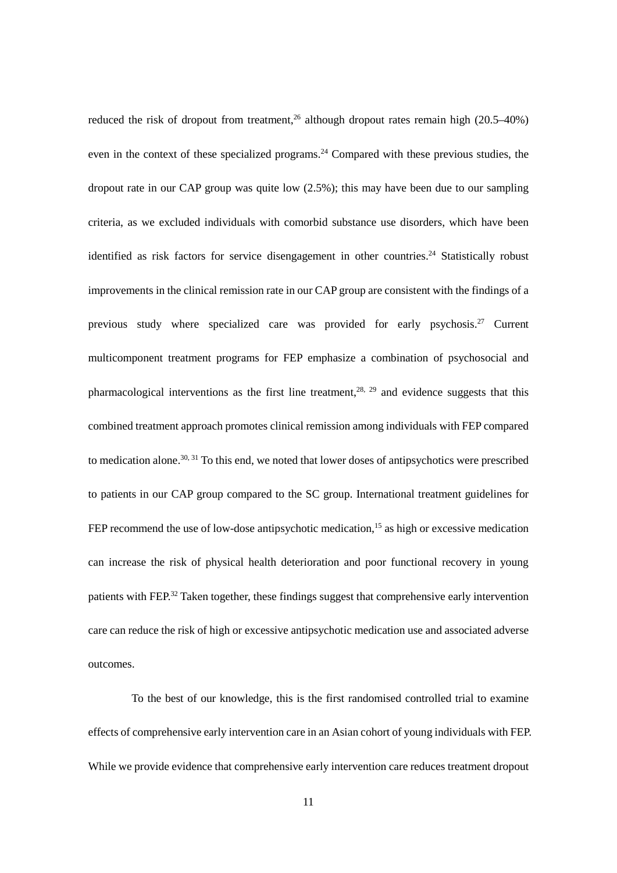reduced the risk of dropout from treatment,<sup>26</sup> although dropout rates remain high (20.5–40%) even in the context of these specialized programs.<sup>24</sup> Compared with these previous studies, the dropout rate in our CAP group was quite low (2.5%); this may have been due to our sampling criteria, as we excluded individuals with comorbid substance use disorders, which have been identified as risk factors for service disengagement in other countries.<sup>24</sup> Statistically robust improvements in the clinical remission rate in our CAP group are consistent with the findings of a previous study where specialized care was provided for early psychosis.<sup>27</sup> Current multicomponent treatment programs for FEP emphasize a combination of psychosocial and pharmacological interventions as the first line treatment.<sup>28, 29</sup> and evidence suggests that this combined treatment approach promotes clinical remission among individuals with FEP compared to medication alone.<sup>30, 31</sup> To this end, we noted that lower doses of antipsychotics were prescribed to patients in our CAP group compared to the SC group. International treatment guidelines for FEP recommend the use of low-dose antipsychotic medication,<sup>15</sup> as high or excessive medication can increase the risk of physical health deterioration and poor functional recovery in young patients with FEP.<sup>32</sup> Taken together, these findings suggest that comprehensive early intervention care can reduce the risk of high or excessive antipsychotic medication use and associated adverse outcomes.

To the best of our knowledge, this is the first randomised controlled trial to examine effects of comprehensive early intervention care in an Asian cohort of young individuals with FEP. While we provide evidence that comprehensive early intervention care reduces treatment dropout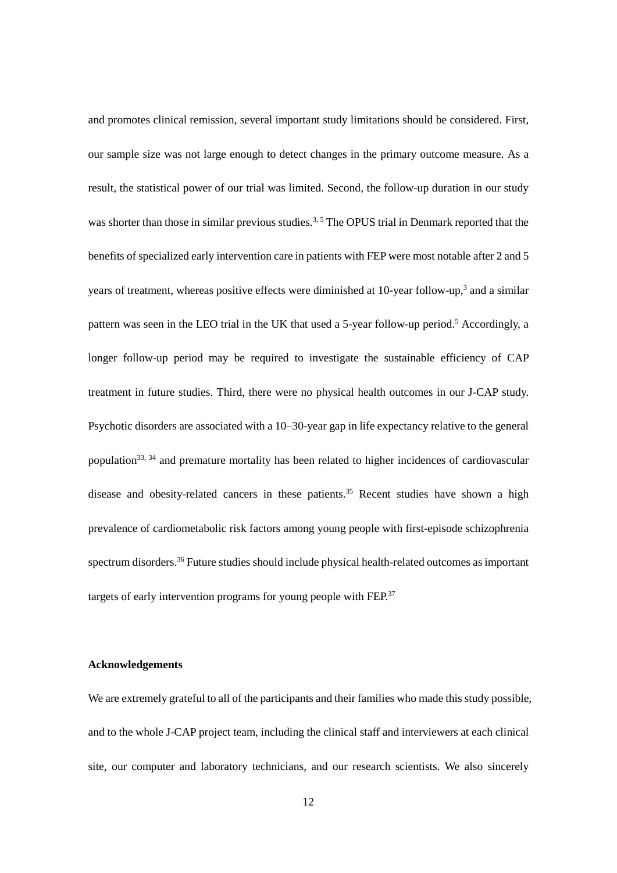and promotes clinical remission, several important study limitations should be considered. First, our sample size was not large enough to detect changes in the primary outcome measure. As a result, the statistical power of our trial was limited. Second, the follow-up duration in our study was shorter than those in similar previous studies.<sup>3, 5</sup> The OPUS trial in Denmark reported that the benefits of specialized early intervention care in patients with FEP were most notable after 2 and 5 years of treatment, whereas positive effects were diminished at 10-year follow-up,<sup>3</sup> and a similar pattern was seen in the LEO trial in the UK that used a 5-year follow-up period.<sup>5</sup> Accordingly, a longer follow-up period may be required to investigate the sustainable efficiency of CAP treatment in future studies. Third, there were no physical health outcomes in our J-CAP study. Psychotic disorders are associated with a 10–30-year gap in life expectancy relative to the general population<sup>33, 34</sup> and premature mortality has been related to higher incidences of cardiovascular disease and obesity-related cancers in these patients.<sup>35</sup> Recent studies have shown a high prevalence of cardiometabolic risk factors among young people with first-episode schizophrenia spectrum disorders.<sup>36</sup> Future studies should include physical health-related outcomes as important targets of early intervention programs for young people with  $FEP<sup>37</sup>$ 

#### **Acknowledgements**

We are extremely grateful to all of the participants and their families who made this study possible, and to the whole J-CAP project team, including the clinical staff and interviewers at each clinical site, our computer and laboratory technicians, and our research scientists. We also sincerely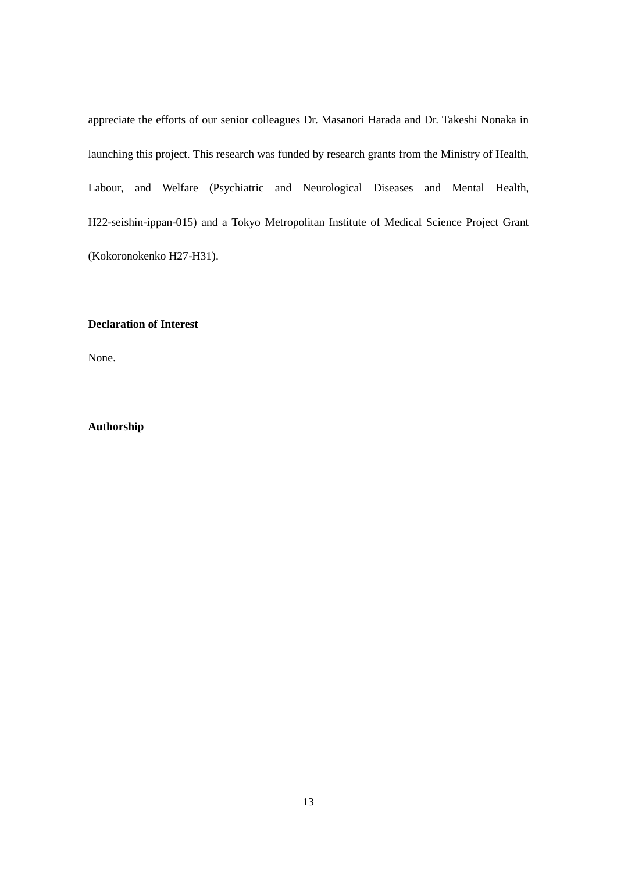appreciate the efforts of our senior colleagues Dr. Masanori Harada and Dr. Takeshi Nonaka in launching this project. This research was funded by research grants from the Ministry of Health, Labour, and Welfare (Psychiatric and Neurological Diseases and Mental Health, H22-seishin-ippan-015) and a Tokyo Metropolitan Institute of Medical Science Project Grant (Kokoronokenko H27-H31).

# **Declaration of Interest**

None.

# **Authorship**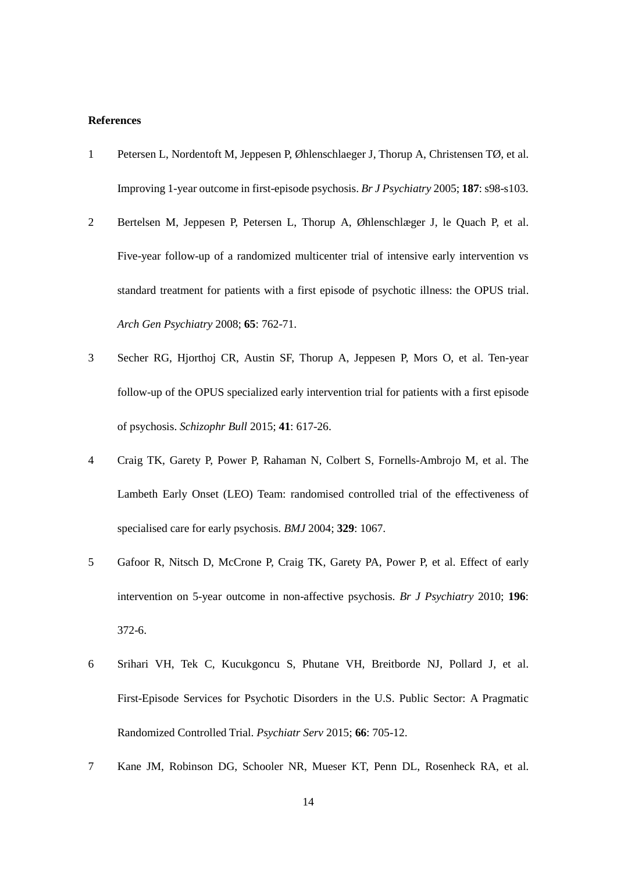#### **References**

- 1 Petersen L, Nordentoft M, Jeppesen P, Øhlenschlaeger J, Thorup A, Christensen TØ, et al. Improving 1-year outcome in first-episode psychosis. *Br J Psychiatry* 2005; **187**: s98-s103.
- 2 Bertelsen M, Jeppesen P, Petersen L, Thorup A, Øhlenschlæger J, le Quach P, et al. Five-year follow-up of a randomized multicenter trial of intensive early intervention vs standard treatment for patients with a first episode of psychotic illness: the OPUS trial. *Arch Gen Psychiatry* 2008; **65**: 762-71.
- 3 Secher RG, Hjorthoj CR, Austin SF, Thorup A, Jeppesen P, Mors O, et al. Ten-year follow-up of the OPUS specialized early intervention trial for patients with a first episode of psychosis. *Schizophr Bull* 2015; **41**: 617-26.
- 4 Craig TK, Garety P, Power P, Rahaman N, Colbert S, Fornells-Ambrojo M, et al. The Lambeth Early Onset (LEO) Team: randomised controlled trial of the effectiveness of specialised care for early psychosis. *BMJ* 2004; **329**: 1067.
- 5 Gafoor R, Nitsch D, McCrone P, Craig TK, Garety PA, Power P, et al. Effect of early intervention on 5-year outcome in non-affective psychosis. *Br J Psychiatry* 2010; **196**: 372-6.
- 6 Srihari VH, Tek C, Kucukgoncu S, Phutane VH, Breitborde NJ, Pollard J, et al. First-Episode Services for Psychotic Disorders in the U.S. Public Sector: A Pragmatic Randomized Controlled Trial. *Psychiatr Serv* 2015; **66**: 705-12.
- 7 Kane JM, Robinson DG, Schooler NR, Mueser KT, Penn DL, Rosenheck RA, et al.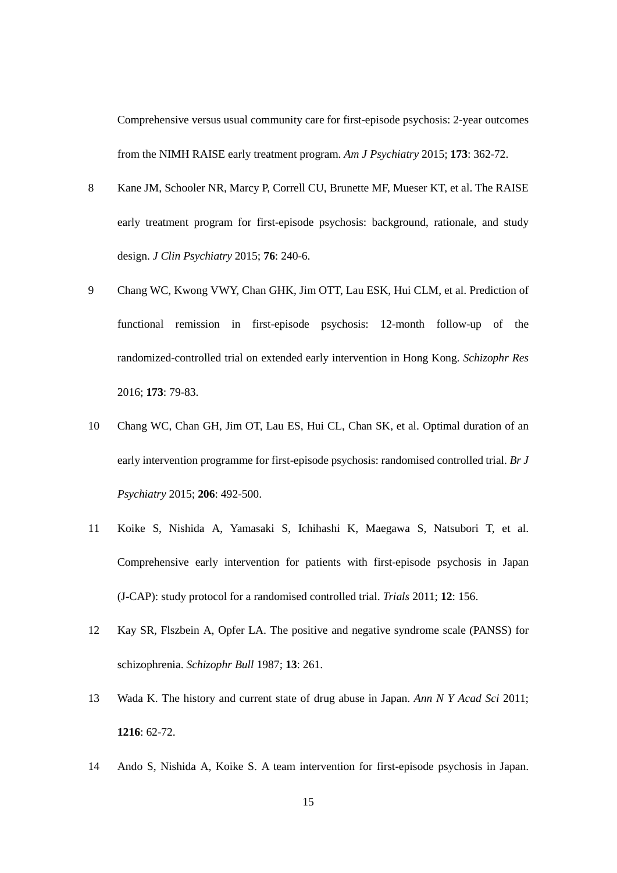Comprehensive versus usual community care for first-episode psychosis: 2-year outcomes from the NIMH RAISE early treatment program. *Am J Psychiatry* 2015; **173**: 362-72.

- 8 Kane JM, Schooler NR, Marcy P, Correll CU, Brunette MF, Mueser KT, et al. The RAISE early treatment program for first-episode psychosis: background, rationale, and study design. *J Clin Psychiatry* 2015; **76**: 240-6.
- 9 Chang WC, Kwong VWY, Chan GHK, Jim OTT, Lau ESK, Hui CLM, et al. Prediction of functional remission in first-episode psychosis: 12-month follow-up of the randomized-controlled trial on extended early intervention in Hong Kong. *Schizophr Res* 2016; **173**: 79-83.
- 10 Chang WC, Chan GH, Jim OT, Lau ES, Hui CL, Chan SK, et al. Optimal duration of an early intervention programme for first-episode psychosis: randomised controlled trial. *Br J Psychiatry* 2015; **206**: 492-500.
- 11 Koike S, Nishida A, Yamasaki S, Ichihashi K, Maegawa S, Natsubori T, et al. Comprehensive early intervention for patients with first-episode psychosis in Japan (J-CAP): study protocol for a randomised controlled trial. *Trials* 2011; **12**: 156.
- 12 Kay SR, Flszbein A, Opfer LA. The positive and negative syndrome scale (PANSS) for schizophrenia. *Schizophr Bull* 1987; **13**: 261.
- 13 Wada K. The history and current state of drug abuse in Japan. *Ann N Y Acad Sci* 2011; **1216**: 62-72.
- 14 Ando S, Nishida A, Koike S. A team intervention for first-episode psychosis in Japan.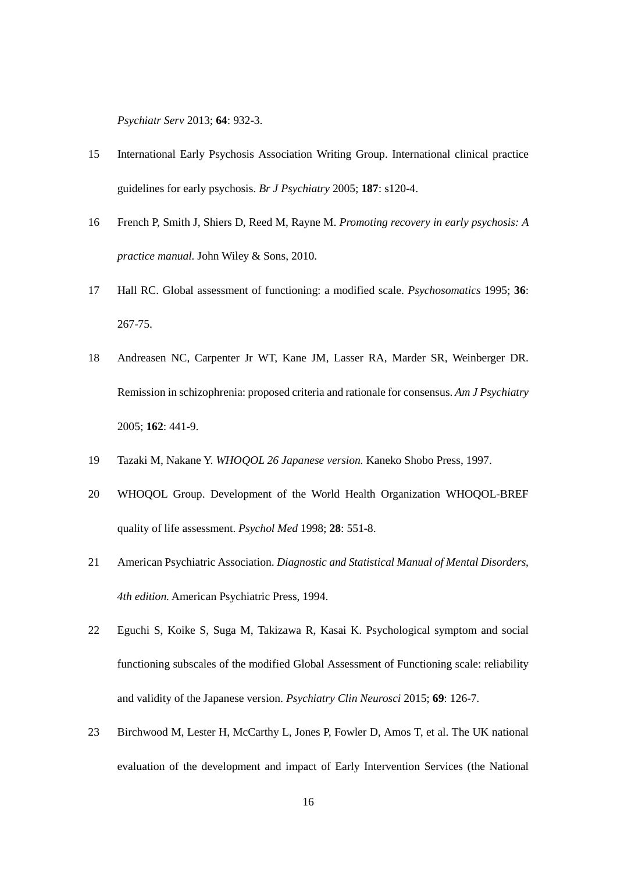*Psychiatr Serv* 2013; **64**: 932-3.

- 15 International Early Psychosis Association Writing Group. International clinical practice guidelines for early psychosis. *Br J Psychiatry* 2005; **187**: s120-4.
- 16 French P, Smith J, Shiers D, Reed M, Rayne M. *Promoting recovery in early psychosis: A practice manual.* John Wiley & Sons, 2010.
- 17 Hall RC. Global assessment of functioning: a modified scale. *Psychosomatics* 1995; **36**: 267-75.
- 18 Andreasen NC, Carpenter Jr WT, Kane JM, Lasser RA, Marder SR, Weinberger DR. Remission in schizophrenia: proposed criteria and rationale for consensus. *Am J Psychiatry* 2005; **162**: 441-9.
- 19 Tazaki M, Nakane Y. *WHOQOL 26 Japanese version.* Kaneko Shobo Press, 1997.
- 20 WHOQOL Group. Development of the World Health Organization WHOQOL-BREF quality of life assessment. *Psychol Med* 1998; **28**: 551-8.
- 21 American Psychiatric Association. *Diagnostic and Statistical Manual of Mental Disorders, 4th edition.* American Psychiatric Press, 1994.
- 22 Eguchi S, Koike S, Suga M, Takizawa R, Kasai K. Psychological symptom and social functioning subscales of the modified Global Assessment of Functioning scale: reliability and validity of the Japanese version. *Psychiatry Clin Neurosci* 2015; **69**: 126-7.
- 23 Birchwood M, Lester H, McCarthy L, Jones P, Fowler D, Amos T, et al. The UK national evaluation of the development and impact of Early Intervention Services (the National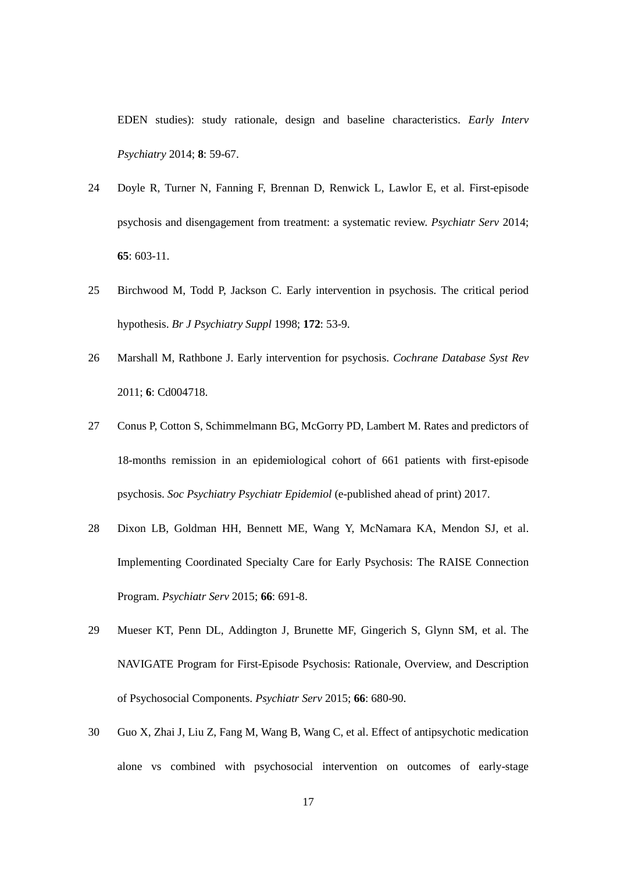EDEN studies): study rationale, design and baseline characteristics. *Early Interv Psychiatry* 2014; **8**: 59-67.

- 24 Doyle R, Turner N, Fanning F, Brennan D, Renwick L, Lawlor E, et al. First-episode psychosis and disengagement from treatment: a systematic review. *Psychiatr Serv* 2014; **65**: 603-11.
- 25 Birchwood M, Todd P, Jackson C. Early intervention in psychosis. The critical period hypothesis. *Br J Psychiatry Suppl* 1998; **172**: 53-9.
- 26 Marshall M, Rathbone J. Early intervention for psychosis. *Cochrane Database Syst Rev* 2011; **6**: Cd004718.
- 27 Conus P, Cotton S, Schimmelmann BG, McGorry PD, Lambert M. Rates and predictors of 18-months remission in an epidemiological cohort of 661 patients with first-episode psychosis. *Soc Psychiatry Psychiatr Epidemiol* (e-published ahead of print) 2017.
- 28 Dixon LB, Goldman HH, Bennett ME, Wang Y, McNamara KA, Mendon SJ, et al. Implementing Coordinated Specialty Care for Early Psychosis: The RAISE Connection Program. *Psychiatr Serv* 2015; **66**: 691-8.
- 29 Mueser KT, Penn DL, Addington J, Brunette MF, Gingerich S, Glynn SM, et al. The NAVIGATE Program for First-Episode Psychosis: Rationale, Overview, and Description of Psychosocial Components. *Psychiatr Serv* 2015; **66**: 680-90.
- 30 Guo X, Zhai J, Liu Z, Fang M, Wang B, Wang C, et al. Effect of antipsychotic medication alone vs combined with psychosocial intervention on outcomes of early-stage